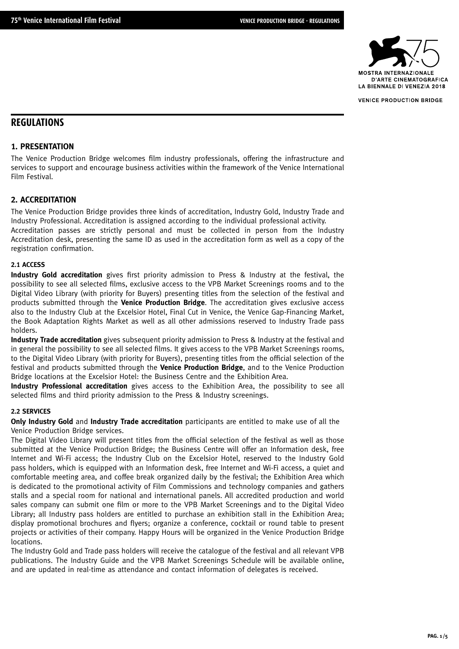

# **REGULATIONS**

## **1. PRESENTATION**

The Venice Production Bridge welcomes film industry professionals, offering the infrastructure and services to support and encourage business activities within the framework of the Venice International Film Festival.

## **2. ACCREDITATION**

The Venice Production Bridge provides three kinds of accreditation, Industry Gold, Industry Trade and Industry Professional. Accreditation is assigned according to the individual professional activity. Accreditation passes are strictly personal and must be collected in person from the Industry Accreditation desk, presenting the same ID as used in the accreditation form as well as a copy of the registration confirmation.

#### **2.1 ACCESS**

**Industry Gold accreditation** gives first priority admission to Press & Industry at the festival, the possibility to see all selected films, exclusive access to the VPB Market Screenings rooms and to the Digital Video Library (with priority for Buyers) presenting titles from the selection of the festival and products submitted through the **Venice Production Bridge**. The accreditation gives exclusive access also to the Industry Club at the Excelsior Hotel, Final Cut in Venice, the Venice Gap-Financing Market, the Book Adaptation Rights Market as well as all other admissions reserved to Industry Trade pass holders.

**Industry Trade accreditation** gives subsequent priority admission to Press & Industry at the festival and in general the possibility to see all selected films. It gives access to the VPB Market Screenings rooms, to the Digital Video Library (with priority for Buyers), presenting titles from the official selection of the festival and products submitted through the **Venice Production Bridge**, and to the Venice Production Bridge locations at the Excelsior Hotel: the Business Centre and the Exhibition Area.

**Industry Professional accreditation** gives access to the Exhibition Area, the possibility to see all selected films and third priority admission to the Press & Industry screenings.

## **2.2 SERVICES**

**Only Industry Gold** and **Industry Trade accreditation** participants are entitled to make use of all the Venice Production Bridge services.

The Digital Video Library will present titles from the official selection of the festival as well as those submitted at the Venice Production Bridge; the Business Centre will offer an Information desk, free Internet and Wi-Fi access; the Industry Club on the Excelsior Hotel, reserved to the Industry Gold pass holders, which is equipped with an Information desk, free Internet and Wi-Fi access, a quiet and comfortable meeting area, and coffee break organized daily by the festival; the Exhibition Area which is dedicated to the promotional activity of Film Commissions and technology companies and gathers stalls and a special room for national and international panels. All accredited production and world sales company can submit one film or more to the VPB Market Screenings and to the Digital Video Library; all Industry pass holders are entitled to purchase an exhibition stall in the Exhibition Area; display promotional brochures and flyers; organize a conference, cocktail or round table to present projects or activities of their company. Happy Hours will be organized in the Venice Production Bridge locations.

The Industry Gold and Trade pass holders will receive the catalogue of the festival and all relevant VPB publications. The Industry Guide and the VPB Market Screenings Schedule will be available online, and are updated in real-time as attendance and contact information of delegates is received.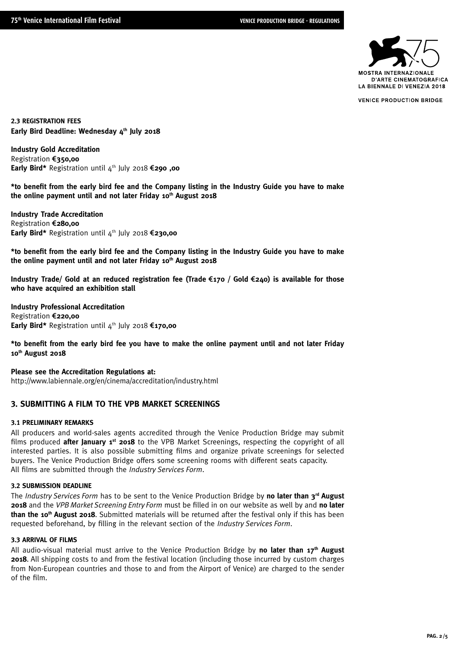

**2.3 REGISTRATION FEES** Early Bird Deadline: Wednesday 4th July 2018

**Industry Gold Accreditation** Registration 5**350,00 Early Bird\*** Registration until 4<sup>th</sup> July 2018 €290 .00

**\*to benefit from the early bird fee and the Company listing in the Industry Guide you have to make**  the online payment until and not later Friday 10<sup>th</sup> August 2018

**Industry Trade Accreditation Registration €280,00 Early Bird\*** Registration until 4<sup>th</sup> July 2018 €230,00

**\*to benefit from the early bird fee and the Company listing in the Industry Guide you have to make**  the online payment until and not later Friday 10<sup>th</sup> August 2018

**Industry Trade/ Gold at an reduced registration fee (Trade** 5**170 / Gold** 5**240) is available for those who have acquired an exhibition stall**

**Industry Professional Accreditation Registration €220,00 Early Bird\*** Registration until 4<sup>th</sup> July 2018 €170,00

**\*to benefit from the early bird fee you have to make the online payment until and not later Friday 10th August 2018**

**Please see the Accreditation Regulations at:** http://www.labiennale.org/en/cinema/accreditation/industry.html

## **3. SUBMITTING A FILM TO THE VPB MARKET SCREENINGS**

### **3.1 PRELIMINARY REMARKS**

All producers and world-sales agents accredited through the Venice Production Bridge may submit films produced **after January 1st 2018** to the VPB Market Screenings, respecting the copyright of all interested parties. It is also possible submitting films and organize private screenings for selected buyers. The Venice Production Bridge offers some screening rooms with different seats capacity. All films are submitted through the *Industry Services Form*.

#### **3.2 SUBMISSION DEADLINE**

The *Industry Services Form* has to be sent to the Venice Production Bridge by **no later than 3rd August 2018** and the *VPB Market Screening Entry Form* must be filled in on our website as well by and **no later than the 10th August 2018**. Submitted materials will be returned after the festival only if this has been requested beforehand, by filling in the relevant section of the *Industry Services Form*.

## **3.3 ARRIVAL OF FILMS**

All audio-visual material must arrive to the Venice Production Bridge by no later than 17<sup>th</sup> August **2018**. All shipping costs to and from the festival location (including those incurred by custom charges from Non-European countries and those to and from the Airport of Venice) are charged to the sender of the film.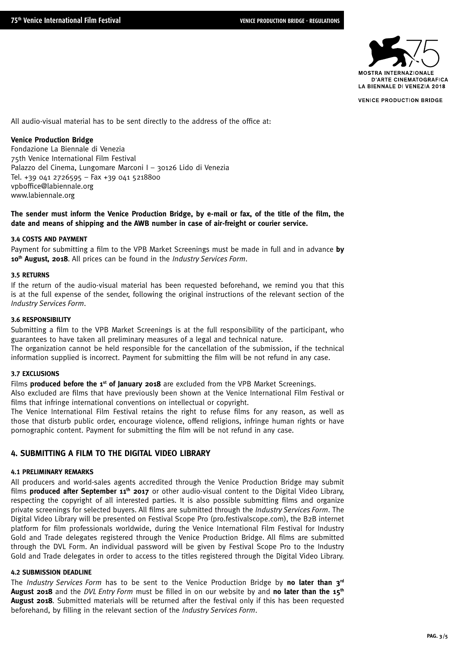

All audio-visual material has to be sent directly to the address of the office at:

## **Venice Production Bridge**

Fondazione La Biennale di Venezia 75th Venice International Film Festival Palazzo del Cinema, Lungomare Marconi I – 30126 Lido di Venezia Tel. +39 041 2726595 – Fax +39 041 5218800 vpboffice@labiennale.org www.labiennale.org

## **The sender must inform the Venice Production Bridge, by e-mail or fax, of the title of the film, the date and means of shipping and the AWB number in case of air-freight or courier service.**

#### **3.4 COSTS AND PAYMENT**

Payment for submitting a film to the VPB Market Screenings must be made in full and in advance **by 10th August, 2018**. All prices can be found in the *Industry Services Form*.

#### **3.5 RETURNS**

If the return of the audio-visual material has been requested beforehand, we remind you that this is at the full expense of the sender, following the original instructions of the relevant section of the *Industry Services Form*.

#### **3.6 RESPONSIBILITY**

Submitting a film to the VPB Market Screenings is at the full responsibility of the participant, who guarantees to have taken all preliminary measures of a legal and technical nature. The organization cannot be held responsible for the cancellation of the submission, if the technical

information supplied is incorrect. Payment for submitting the film will be not refund in any case.

#### **3.7 EXCLUSIONS**

Films **produced before the 1st of January 2018** are excluded from the VPB Market Screenings.

Also excluded are films that have previously been shown at the Venice International Film Festival or films that infringe international conventions on intellectual or copyright.

The Venice International Film Festival retains the right to refuse films for any reason, as well as those that disturb public order, encourage violence, offend religions, infringe human rights or have pornographic content. Payment for submitting the film will be not refund in any case.

## **4. SUBMITTING A FILM TO THE DIGITAL VIDEO LIBRARY**

## **4.1 PRELIMINARY REMARKS**

All producers and world-sales agents accredited through the Venice Production Bridge may submit films **produced after September 11<sup>th</sup> 2017** or other audio-visual content to the Digital Video Library, respecting the copyright of all interested parties. It is also possible submitting films and organize private screenings for selected buyers. All films are submitted through the *Industry Services Form*. The Digital Video Library will be presented on Festival Scope Pro (pro.festivalscope.com), the B2B internet platform for film professionals worldwide, during the Venice International Film Festival for Industry Gold and Trade delegates registered through the Venice Production Bridge. All films are submitted through the DVL Form. An individual password will be given by Festival Scope Pro to the Industry Gold and Trade delegates in order to access to the titles registered through the Digital Video Library.

### **4.2 SUBMISSION DEADLINE**

The *Industry Services Form* has to be sent to the Venice Production Bridge by **no later than 3rd August 2018** and the *DVL Entry Form* must be filled in on our website by and **no later than the 15th August 2018**. Submitted materials will be returned after the festival only if this has been requested beforehand, by filling in the relevant section of the *Industry Services Form*.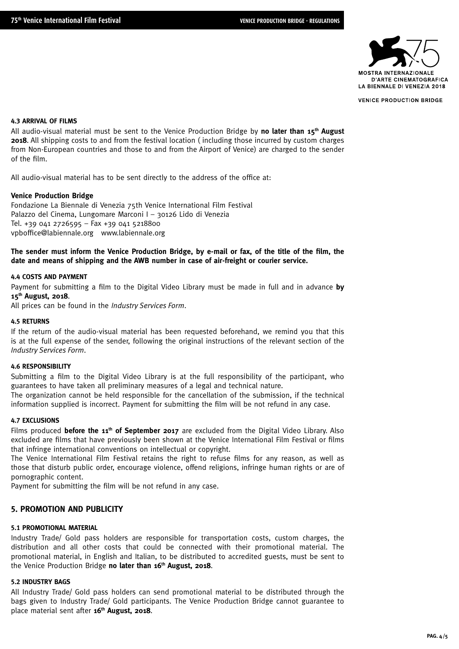

#### **4.3 ARRIVAL OF FILMS**

All audio-visual material must be sent to the Venice Production Bridge by **no later than 15th August 2018**. All shipping costs to and from the festival location ( including those incurred by custom charges from Non-European countries and those to and from the Airport of Venice) are charged to the sender of the film.

All audio-visual material has to be sent directly to the address of the office at:

## **Venice Production Bridge**

Fondazione La Biennale di Venezia 75th Venice International Film Festival Palazzo del Cinema, Lungomare Marconi I – 30126 Lido di Venezia Tel. +39 041 2726595 – Fax +39 041 5218800 vpboffice@labiennale.org www.labiennale.org

## **The sender must inform the Venice Production Bridge, by e-mail or fax, of the title of the film, the date and means of shipping and the AWB number in case of air-freight or courier service.**

#### **4.4 COSTS AND PAYMENT**

Payment for submitting a film to the Digital Video Library must be made in full and in advance **by 15th August, 2018**.

All prices can be found in the *Industry Services Form*.

#### **4.5 RETURNS**

If the return of the audio-visual material has been requested beforehand, we remind you that this is at the full expense of the sender, following the original instructions of the relevant section of the *Industry Services Form*.

### **4.6 RESPONSIBILITY**

Submitting a film to the Digital Video Library is at the full responsibility of the participant, who guarantees to have taken all preliminary measures of a legal and technical nature.

The organization cannot be held responsible for the cancellation of the submission, if the technical information supplied is incorrect. Payment for submitting the film will be not refund in any case.

## **4.7 EXCLUSIONS**

Films produced **before the 11<sup>th</sup> of September 2017** are excluded from the Digital Video Library. Also excluded are films that have previously been shown at the Venice International Film Festival or films that infringe international conventions on intellectual or copyright.

The Venice International Film Festival retains the right to refuse films for any reason, as well as those that disturb public order, encourage violence, offend religions, infringe human rights or are of pornographic content.

Payment for submitting the film will be not refund in any case.

## **5. PROMOTION AND PUBLICITY**

## **5.1 PROMOTIONAL MATERIAL**

Industry Trade/ Gold pass holders are responsible for transportation costs, custom charges, the distribution and all other costs that could be connected with their promotional material. The promotional material, in English and Italian, to be distributed to accredited guests, must be sent to the Venice Production Bridge **no later than 16<sup>th</sup> August, 2018**.

## **5.2 INDUSTRY BAGS**

All Industry Trade/ Gold pass holders can send promotional material to be distributed through the bags given to Industry Trade/ Gold participants. The Venice Production Bridge cannot guarantee to place material sent after **16th August, 2018**.